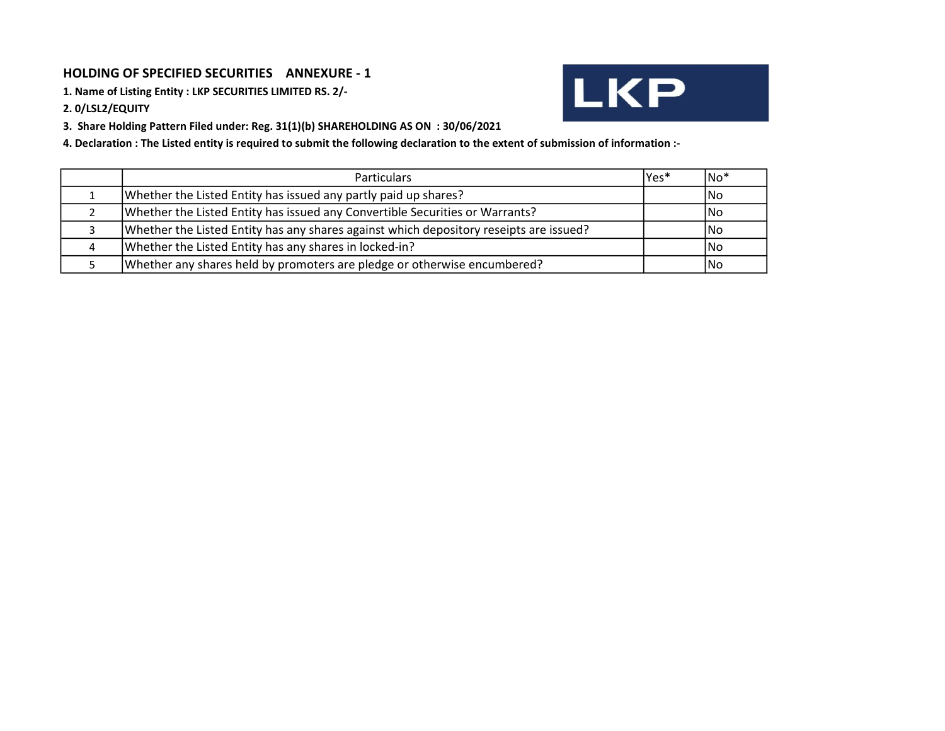### HOLDING OF SPECIFIED SECURITIES ANNEXURE - 1

1. Name of Listing Entity : LKP SECURITIES LIMITED RS. 2/-

2. 0/LSL2/EQUITY

3. Share Holding Pattern Filed under: Reg. 31(1)(b) SHAREHOLDING AS ON : 30/06/2021

4. Declaration : The Listed entity is required to submit the following declaration to the extent of submission of information :-

| <b>Particulars</b>                                                                     | Yes* | lNo* |
|----------------------------------------------------------------------------------------|------|------|
| Whether the Listed Entity has issued any partly paid up shares?                        |      | INo. |
| Whether the Listed Entity has issued any Convertible Securities or Warrants?           |      | INo. |
| Whether the Listed Entity has any shares against which depository reseipts are issued? |      | lNo. |
| Whether the Listed Entity has any shares in locked-in?                                 |      | lNo  |
| Whether any shares held by promoters are pledge or otherwise encumbered?               |      | lNo  |

**LKP**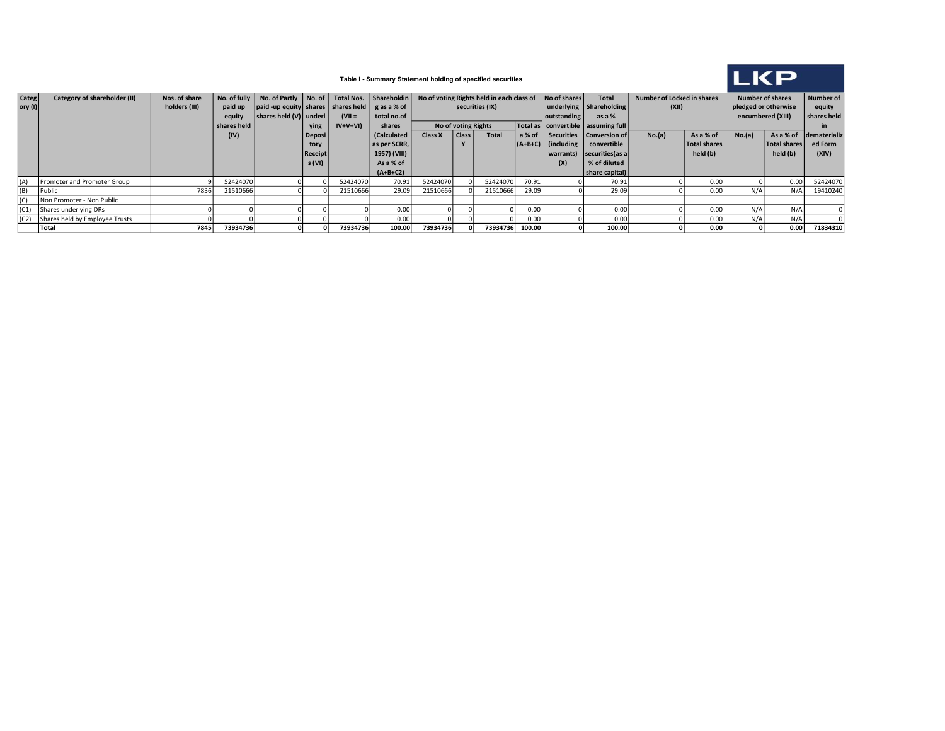

### Table I - Summary Statement holding of specified securities

| <b>Categ</b> | Category of shareholder (II)        | Nos. of share |             | No. of fully   No. of Partly   No. of   Total Nos.   Shareholdin |                |           |              | No of voting Rights held in each class of No of shares |                 |                         |                                    | Number of Locked in shares<br><b>Total</b> |                           | <b>Number of shares</b> |                   |                      | Number of              |          |
|--------------|-------------------------------------|---------------|-------------|------------------------------------------------------------------|----------------|-----------|--------------|--------------------------------------------------------|-----------------|-------------------------|------------------------------------|--------------------------------------------|---------------------------|-------------------------|-------------------|----------------------|------------------------|----------|
| $ $ ory (I)  |                                     | holders (III) | paid up     | $\vert$ paid -up equity shares shares held $\vert$ g as a % of   |                |           |              |                                                        | securities (IX) |                         |                                    |                                            | underlying Shareholding   | (XII)                   |                   | pledged or otherwise |                        | equity   |
|              |                                     |               | equity      | shares held (V) underl                                           |                | $(VII =$  | total no.of  |                                                        |                 | outstanding             | as a %                             |                                            |                           |                         | encumbered (XIII) |                      |                        |          |
|              |                                     |               | shares held |                                                                  | ying           | $IV+V+VI$ | shares       | No of voting Rights                                    |                 |                         | Total as convertible assuming full |                                            |                           |                         |                   |                      |                        |          |
|              |                                     |               | (IV)        |                                                                  | Deposi         |           | (Calculated  | Class<br>Total<br>Class X                              |                 | $a\%$ of $\overline{a}$ |                                    | Securities   Conversion of                 | No.(a)<br>As a % of       |                         | No.(a)            |                      | As a % of dematerializ |          |
|              |                                     |               |             |                                                                  | tory           |           | as per SCRR, |                                                        |                 |                         | $  (A+B+C)  $                      | (including)                                | convertible               |                         | Total shares      |                      | <b>Total shares</b>    | ed Form  |
|              |                                     |               |             |                                                                  | <b>Receipt</b> |           | 1957) (VIII) |                                                        |                 |                         |                                    |                                            | warrants) securities as a |                         | held (b)          |                      | held (b)               | (XIV)    |
|              |                                     |               |             |                                                                  | s (VI)         |           | As a % of    |                                                        |                 |                         |                                    | (X)                                        | % of diluted              |                         |                   |                      |                        |          |
|              |                                     |               |             |                                                                  |                |           | $(A+B+C2)$   |                                                        |                 |                         |                                    |                                            | share capital)            |                         |                   |                      |                        |          |
| (A)          | Promoter and Promoter Group         |               | 52424070    |                                                                  |                | 52424070  | 70.91        | 52424070                                               |                 | 52424070                | 70.91                              |                                            | 70.91                     |                         | 0.00              |                      | 0.00                   | 52424070 |
| (B)          | Public                              | 7836          | 21510666    |                                                                  |                | 21510666  | 29.09        | 21510666                                               |                 | 21510666                | 29.09                              |                                            | 29.09                     |                         | 0.00              | N/A                  | N/A                    | 19410240 |
| (C)          | Non Promoter - Non Public           |               |             |                                                                  |                |           |              |                                                        |                 |                         |                                    |                                            |                           |                         |                   |                      |                        |          |
|              | $(C1)$ Shares underlying DRs        |               |             |                                                                  |                |           | 0.00         |                                                        |                 |                         | 0.00                               |                                            | 0.00                      |                         | 0.00              | N/A                  | N/A                    |          |
|              | (C2) Shares held by Employee Trusts |               |             |                                                                  |                |           | 0.00         |                                                        |                 |                         | 0.00                               |                                            | 0.00                      |                         | 0.00              | N/A                  | N/A                    |          |
|              | Total                               | 7845          | 73934736    |                                                                  |                | 73934736  | 100.00       | 73934736                                               |                 | 73934736                | 100.00                             |                                            | 100.00                    |                         | 0.00              |                      | 0.00                   | 71834310 |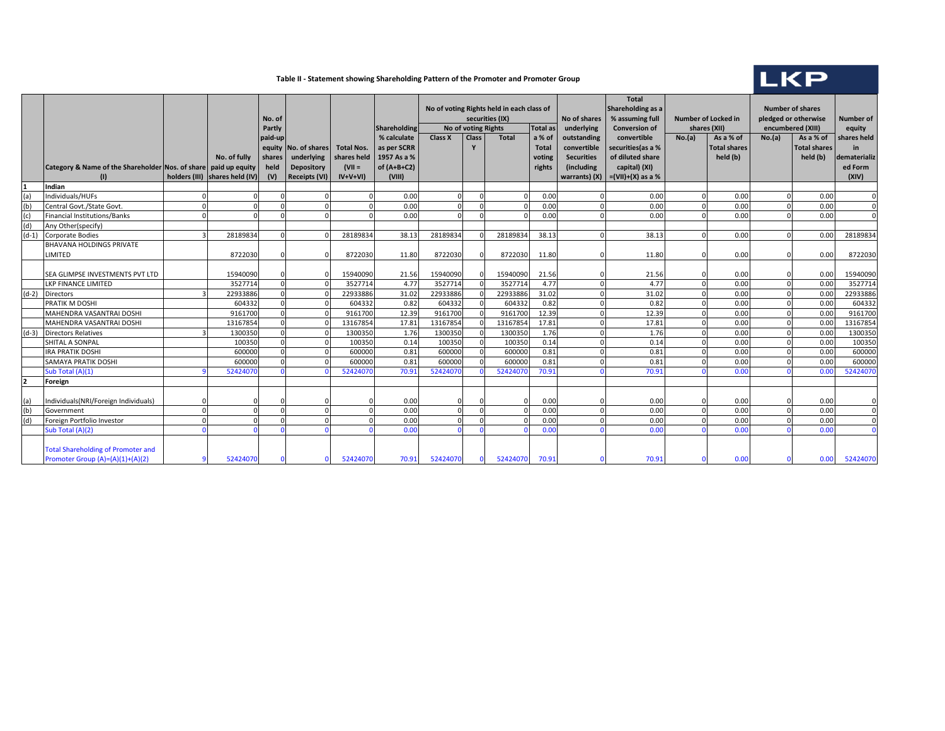#### **Table II - Statement showing Shareholding Pattern of the Promoter and Promoter Group**

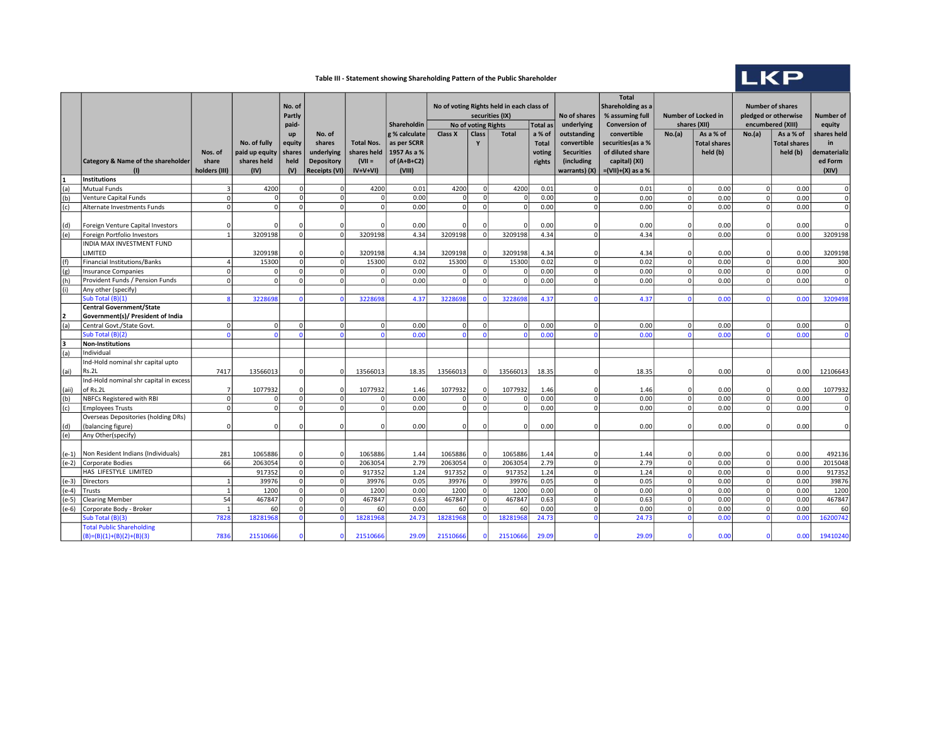# LKP

### Table III - Statement showing Shareholding Pattern of the Public Shareholder

|         |                                                                | No of voting Rights held in each class of<br>No. of<br>Partly<br>securities (IX)<br>Shareholdin<br>No of voting Rights |                                                       | <b>Total as</b>                                | No of shares<br>underlying                                                  | <b>Total</b><br>Shareholding as a<br>% assuming full<br><b>Conversion of</b> | <b>Number of Locked in</b><br>shares (XII)                             |                | <b>Number of shares</b><br>pledged or otherwise<br>encumbered (XIII) |              | <b>Number of</b><br>equity                 |                                                                                |                                                                                               |                |                                              |             |                                              |                                                       |
|---------|----------------------------------------------------------------|------------------------------------------------------------------------------------------------------------------------|-------------------------------------------------------|------------------------------------------------|-----------------------------------------------------------------------------|------------------------------------------------------------------------------|------------------------------------------------------------------------|----------------|----------------------------------------------------------------------|--------------|--------------------------------------------|--------------------------------------------------------------------------------|-----------------------------------------------------------------------------------------------|----------------|----------------------------------------------|-------------|----------------------------------------------|-------------------------------------------------------|
|         | <b>Category &amp; Name of the shareholder</b><br>(1)           | Nos. of<br>share<br>holders (III)                                                                                      | No. of fully<br>paid up equity<br>shares held<br>(IV) | paid-<br>up<br>equity<br>shares<br>held<br>(V) | No. of<br>shares<br>underlying<br><b>Depository</b><br><b>Receipts (VI)</b> | <b>Total Nos.</b><br>shares held<br>$(VII =$<br>$IV+V+VI$                    | g % calculate<br>as per SCRR<br>1957 As a %<br>of $(A+B+C2)$<br>(VIII) | <b>Class X</b> | Class<br>Y                                                           | <b>Total</b> | a % of<br><b>Total</b><br>voting<br>rights | outstanding<br>convertible<br><b>Securities</b><br>(including<br>warrants) (X) | convertible<br>securities (as a %<br>of diluted share<br>capital) (XI)<br>$=(VII)+(X)$ as a % | No.(a)         | As a % of<br><b>Total shares</b><br>held (b) | No.(a)      | As a % of<br><b>Total shares</b><br>held (b) | shares held<br>in<br>dematerializ<br>ed Form<br>(XIV) |
| 1       | <b>Institutions</b>                                            |                                                                                                                        |                                                       |                                                |                                                                             |                                                                              |                                                                        |                |                                                                      |              |                                            |                                                                                |                                                                                               |                |                                              |             |                                              |                                                       |
| (a)     | <b>Mutual Funds</b>                                            |                                                                                                                        | 4200                                                  | $\Omega$                                       | 0                                                                           | 4200                                                                         | 0.01                                                                   | 4200           | ΩI                                                                   | 4200         | 0.01                                       | $\Omega$                                                                       | 0.01                                                                                          | 0 <sup>l</sup> | 0.00                                         | $\mathbf 0$ | 0.00                                         |                                                       |
| (b)     | Venture Capital Funds                                          | $\Omega$                                                                                                               | $\Omega$                                              | $\mathbf 0$                                    | 0                                                                           | $\Omega$                                                                     | 0.00                                                                   | $\mathbf 0$    | $\mathfrak{o}$                                                       |              | 0.00                                       | $\Omega$                                                                       | 0.00                                                                                          | 0              | 0.00                                         | $\mathbf 0$ | 0.00                                         | $\mathbf 0$                                           |
| (c)     | Alternate Investments Funds                                    | $\Omega$                                                                                                               | 0                                                     | $\mathbf 0$                                    | 0                                                                           | 0                                                                            | 0.00                                                                   | $\circ$        | $\Omega$                                                             | $\Omega$     | 0.00                                       | $\Omega$                                                                       | 0.00                                                                                          | 0              | 0.00                                         | $\mathbf 0$ | 0.00                                         | $\Omega$                                              |
| (d)     | Foreign Venture Capital Investors                              |                                                                                                                        |                                                       | $\Omega$                                       | $\Omega$                                                                    |                                                                              | 0.00                                                                   | $\Omega$       |                                                                      |              | 0.00                                       |                                                                                | 0.00                                                                                          | $\overline{0}$ | 0.00                                         | $\Omega$    | 0.00                                         |                                                       |
| (e)     | Foreign Portfolio Investors                                    |                                                                                                                        | 3209198                                               | $\mathbf 0$                                    | 0                                                                           | 3209198                                                                      | 4.34                                                                   | 3209198        | $\Omega$                                                             | 3209198      | 4.34                                       | $\Omega$                                                                       | 4.34                                                                                          | ol             | 0.00                                         | $\mathbf 0$ | 0.00                                         | 3209198                                               |
|         | INDIA MAX INVESTMENT FUND<br>LIMITED                           |                                                                                                                        | 3209198                                               | $\Omega$                                       | $\Omega$                                                                    | 3209198                                                                      | 4.34                                                                   | 3209198        | $\Omega$                                                             | 3209198      | 4.34                                       |                                                                                | 4.34                                                                                          | $\Omega$       | 0.00                                         | $\sqrt{2}$  | 0.00                                         | 3209198                                               |
| (f)     | Financial Institutions/Banks                                   |                                                                                                                        | 15300                                                 | $\mathbf 0$                                    | 0                                                                           | 15300                                                                        | 0.02                                                                   | 15300          | ΩI                                                                   | 15300        | 0.02                                       | $\Omega$                                                                       | 0.02                                                                                          | $\Omega$       | 0.00                                         | $\Omega$    | 0.00                                         | 300                                                   |
| (g)     | <b>Insurance Companies</b>                                     |                                                                                                                        | $\Omega$                                              | $\Omega$                                       | 0                                                                           | $\Omega$                                                                     | 0.00                                                                   | $\mathbf{0}$   | $\Omega$                                                             |              | 0.00                                       | $\Omega$                                                                       | 0.00                                                                                          | 0              | 0.00                                         | $\mathbf 0$ | 0.00                                         | $\mathbf 0$                                           |
| (h)     | Provident Funds / Pension Funds                                |                                                                                                                        | $\Omega$                                              | $\Omega$                                       | 0                                                                           | 0                                                                            | 0.00                                                                   | $\circ$        | $\Omega$                                                             |              | 0.00                                       | $\Omega$                                                                       | 0.00                                                                                          | $\Omega$       | 0.00                                         | $\Omega$    | 0.00                                         | $\Omega$                                              |
| (i)     | Any other (specify)                                            |                                                                                                                        |                                                       |                                                |                                                                             |                                                                              |                                                                        |                |                                                                      |              |                                            |                                                                                |                                                                                               |                |                                              |             |                                              |                                                       |
|         | Sub Total (B)(1)                                               |                                                                                                                        | 3228698                                               | $\Omega$                                       | $\mathbf{0}$                                                                | 3228698                                                                      | 4.37                                                                   | 3228698        | $\Omega$                                                             | 3228698      | 4.37                                       |                                                                                | 4.37                                                                                          | $\Omega$       | 0.00                                         | $\sqrt{ }$  | 0.00                                         | 3209498                                               |
|         | <b>Central Government/State</b>                                |                                                                                                                        |                                                       |                                                |                                                                             |                                                                              |                                                                        |                |                                                                      |              |                                            |                                                                                |                                                                                               |                |                                              |             |                                              |                                                       |
| 2       | Government(s)/ President of India                              |                                                                                                                        |                                                       |                                                |                                                                             |                                                                              |                                                                        |                |                                                                      |              |                                            |                                                                                |                                                                                               |                |                                              |             |                                              |                                                       |
| (a)     | Central Govt./State Govt.                                      | $\Omega$                                                                                                               | 0                                                     | $\Omega$                                       | 0                                                                           | 0                                                                            | 0.00                                                                   | $\mathbf{0}$   | $\Omega$                                                             |              | 0.00                                       | $\Omega$                                                                       | 0.00                                                                                          | 0              | 0.00                                         | $\Omega$    | 0.00                                         | $\Omega$                                              |
|         | Sub Total (B)(2)                                               |                                                                                                                        | $\Omega$                                              | $\Omega$                                       | $\Omega$                                                                    | $\Omega$                                                                     | 0.00                                                                   | $\Omega$       | $\Omega$                                                             |              | 0.00                                       | $\Omega$                                                                       | 0.00                                                                                          | $\Omega$       | 0.00                                         | $\Omega$    | 0.00                                         |                                                       |
| 3       | Non-Institutions                                               |                                                                                                                        |                                                       |                                                |                                                                             |                                                                              |                                                                        |                |                                                                      |              |                                            |                                                                                |                                                                                               |                |                                              |             |                                              |                                                       |
| (a)     | Individual                                                     |                                                                                                                        |                                                       |                                                |                                                                             |                                                                              |                                                                        |                |                                                                      |              |                                            |                                                                                |                                                                                               |                |                                              |             |                                              |                                                       |
| (ai)    | Ind-Hold nominal shr capital upto<br>Rs.2L                     | 7417                                                                                                                   | 13566013                                              | 0                                              | <sup>0</sup>                                                                | 13566013                                                                     | 18.35                                                                  | 13566013       |                                                                      | 13566013     | 18.35                                      | n                                                                              | 18.35                                                                                         | 01             | 0.00                                         | $\Omega$    | 0.00                                         | 12106643                                              |
| (aii)   | Ind-Hold nominal shr capital in excess<br>of Rs.2L             |                                                                                                                        | 1077932                                               | $\mathbf{0}$                                   | $\Omega$                                                                    | 1077932                                                                      | 1.46                                                                   | 1077932        |                                                                      | 1077932      | 1.46                                       | n                                                                              | 1.46                                                                                          | $\overline{0}$ | 0.00                                         | $\Omega$    | 0.00                                         | 1077932                                               |
| (b)     | <b>NBFCs Registered with RBI</b>                               | $\Omega$                                                                                                               | $\Omega$                                              | $\mathbf 0$                                    | 0                                                                           | $\Omega$                                                                     | 0.00                                                                   | $\Omega$       | $\Omega$                                                             |              | 0.00                                       | $\Omega$                                                                       | 0.00                                                                                          | 0              | 0.00                                         | $\mathbf 0$ | 0.00                                         | $\Omega$                                              |
| (c)     | <b>Employees Trusts</b>                                        |                                                                                                                        | $\Omega$                                              | $\Omega$                                       | $\Omega$                                                                    | 0                                                                            | 0.00                                                                   | $\circ$        | $\Omega$                                                             |              | 0.00                                       | $\Omega$                                                                       | 0.00                                                                                          | $\Omega$       | 0.00                                         | $\Omega$    | 0.00                                         | $\Omega$                                              |
| (d)     | Overseas Depositories (holding DRs)<br>(balancing figure)      |                                                                                                                        | $\Omega$                                              | $\Omega$                                       | 0                                                                           | $\Omega$                                                                     | 0.00                                                                   | $\overline{0}$ |                                                                      |              | 0.00                                       |                                                                                | 0.00                                                                                          | $\Omega$       | 0.00                                         | C           | 0.00                                         | $\overline{0}$                                        |
| (e)     | Any Other(specify)                                             |                                                                                                                        |                                                       |                                                |                                                                             |                                                                              |                                                                        |                |                                                                      |              |                                            |                                                                                |                                                                                               |                |                                              |             |                                              |                                                       |
|         | (e-1)   Non Resident Indians (Individuals)                     | 281                                                                                                                    | 1065886                                               | $\Omega$                                       | $\Omega$                                                                    | 1065886                                                                      | 1.44                                                                   | 1065886        | n                                                                    | 1065886      | 1.44                                       |                                                                                | 1.44                                                                                          | $\Omega$       | 0.00                                         | $\Omega$    | 0.00                                         | 492136                                                |
| $(e-2)$ | Corporate Bodies                                               | 66                                                                                                                     | 2063054                                               | $\mathbf 0$                                    | 0                                                                           | 2063054                                                                      | 2.79                                                                   | 2063054        | $\Omega$                                                             | 2063054      | 2.79                                       | $\Omega$                                                                       | 2.79                                                                                          | 0              | 0.00                                         | $\mathbf 0$ | 0.00                                         | 2015048                                               |
|         | HAS LIFESTYLE LIMITED                                          |                                                                                                                        | 917352                                                | $\Omega$                                       | 0                                                                           | 917352                                                                       | 1.24                                                                   | 917352         | $\Omega$                                                             | 917352       | 1.24                                       | $\Omega$                                                                       | 1.24                                                                                          | 0              | 0.00                                         | $\mathbf 0$ | 0.00                                         | 917352                                                |
| $(e-3)$ | Directors                                                      |                                                                                                                        | 39976                                                 | $\Omega$                                       | 0                                                                           | 39976                                                                        | 0.05                                                                   | 39976          | $\Omega$                                                             | 39976        | 0.05                                       | $\Omega$                                                                       | 0.05                                                                                          | $\Omega$       | 0.00                                         | $\Omega$    | 0.00                                         | 39876                                                 |
| $(e-4)$ | Trusts                                                         |                                                                                                                        | 1200                                                  | 0                                              | 0                                                                           | 1200                                                                         | 0.00                                                                   | 1200           | 0                                                                    | 1200         | 0.00                                       | $\Omega$                                                                       | 0.00                                                                                          | 0              | 0.00                                         | $\mathbf 0$ | 0.00                                         | 1200                                                  |
| i (e-5) | <b>Clearing Member</b>                                         | 54                                                                                                                     | 467847                                                | $\Omega$                                       | 0                                                                           | 467847                                                                       | 0.63                                                                   | 467847         | $\Omega$                                                             | 467847       | 0.63                                       | $\Omega$                                                                       | 0.63                                                                                          | 0              | 0.00                                         | $\mathbf 0$ | 0.00                                         | 467847                                                |
| $(e-6)$ | Corporate Body - Broker                                        |                                                                                                                        | 60                                                    | $\Omega$                                       | 0                                                                           | 60                                                                           | 0.00                                                                   | 60             | ΩI                                                                   | 60           | 0.00                                       | $\Omega$                                                                       | 0.00                                                                                          | 0              | 0.00                                         | $\mathbf 0$ | 0.00                                         | 60                                                    |
|         | Sub Total (B)(3)                                               | 7828                                                                                                                   | 18281968                                              | $\Omega$                                       | $\mathbf{0}$                                                                | 18281968                                                                     | 24.73                                                                  | 18281968       | $\Omega$                                                             | 18281968     | 24.73                                      | $\Omega$                                                                       | 24.73                                                                                         | $\Omega$       | 0.00                                         | $\Omega$    | 0.00                                         | 16200742                                              |
|         | <b>Total Public Shareholding</b><br>$(B)=(B)(1)+(B)(2)+(B)(3)$ | 7836                                                                                                                   | 21510666                                              | $\Omega$                                       | $\Omega$                                                                    | 21510666                                                                     | 29.09                                                                  | 21510666       |                                                                      | 21510666     | 29.09                                      |                                                                                | 29.09                                                                                         |                | 0.00                                         |             | 0.00                                         | 19410240                                              |